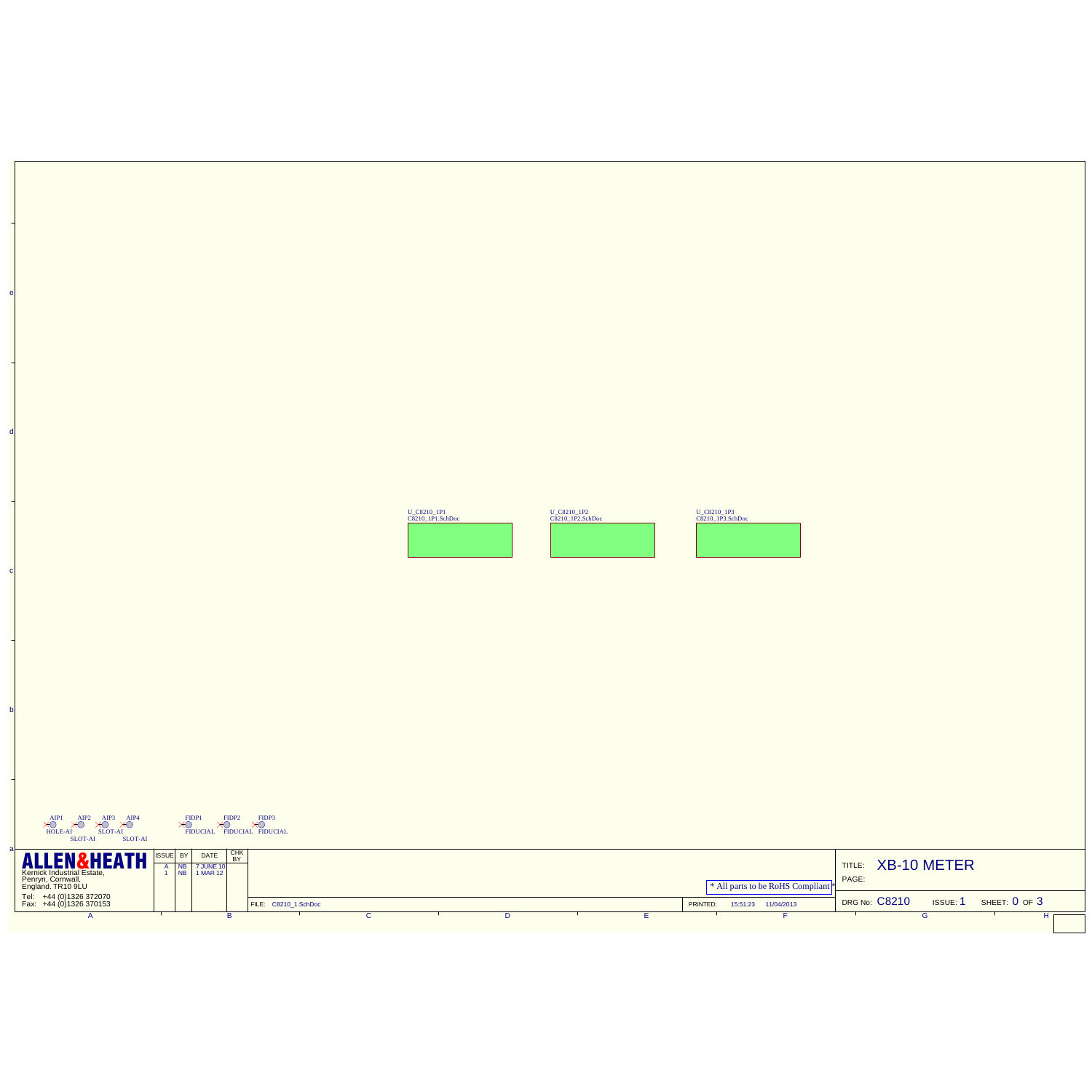|                                                                                                             |                       | <b>COOK IN</b> | <b>COOL PLANE</b> | U. CAZIO IPI                                |                                                    |
|-------------------------------------------------------------------------------------------------------------|-----------------------|----------------|-------------------|---------------------------------------------|----------------------------------------------------|
|                                                                                                             |                       |                |                   |                                             |                                                    |
|                                                                                                             |                       |                |                   |                                             |                                                    |
|                                                                                                             |                       |                |                   |                                             |                                                    |
| $\times$<br>$\sum_{\text{mean}}^{\text{max}}\sum_{\text{mean}}^{\text{max}}\sum_{\text{mean}}^{\text{max}}$ |                       |                |                   |                                             |                                                    |
| F<br><b>ALLEN&amp;HEATH</b><br>SILE BY DATE<br>100 7.4.80 10                                                |                       |                |                   | <sup>*</sup> All parts to be RoHS Compliant | TITLE: XB-10 METER<br>PAGE:                        |
| Tel: +44 (0)1326 372070<br>Fax: +44 (0)1326 370153<br>ъ                                                     | FLE CE70_1.5/ADM<br>τ | τ              |                   | PRINTED: 1531-23 11043013                   | DRG No: C8210<br>ISSUE: 1 SHEET: 0 OF 3<br>ø<br>ਜਾ |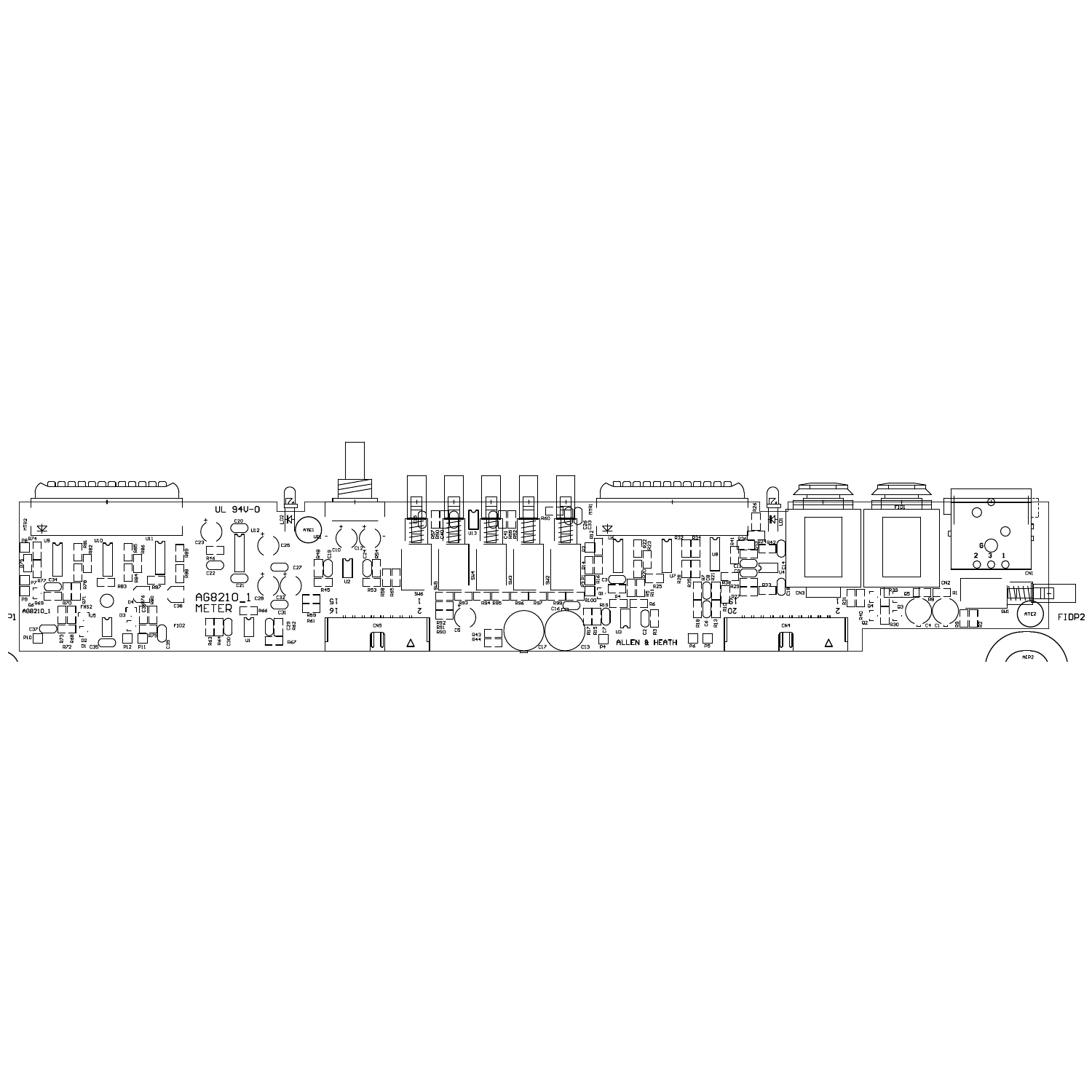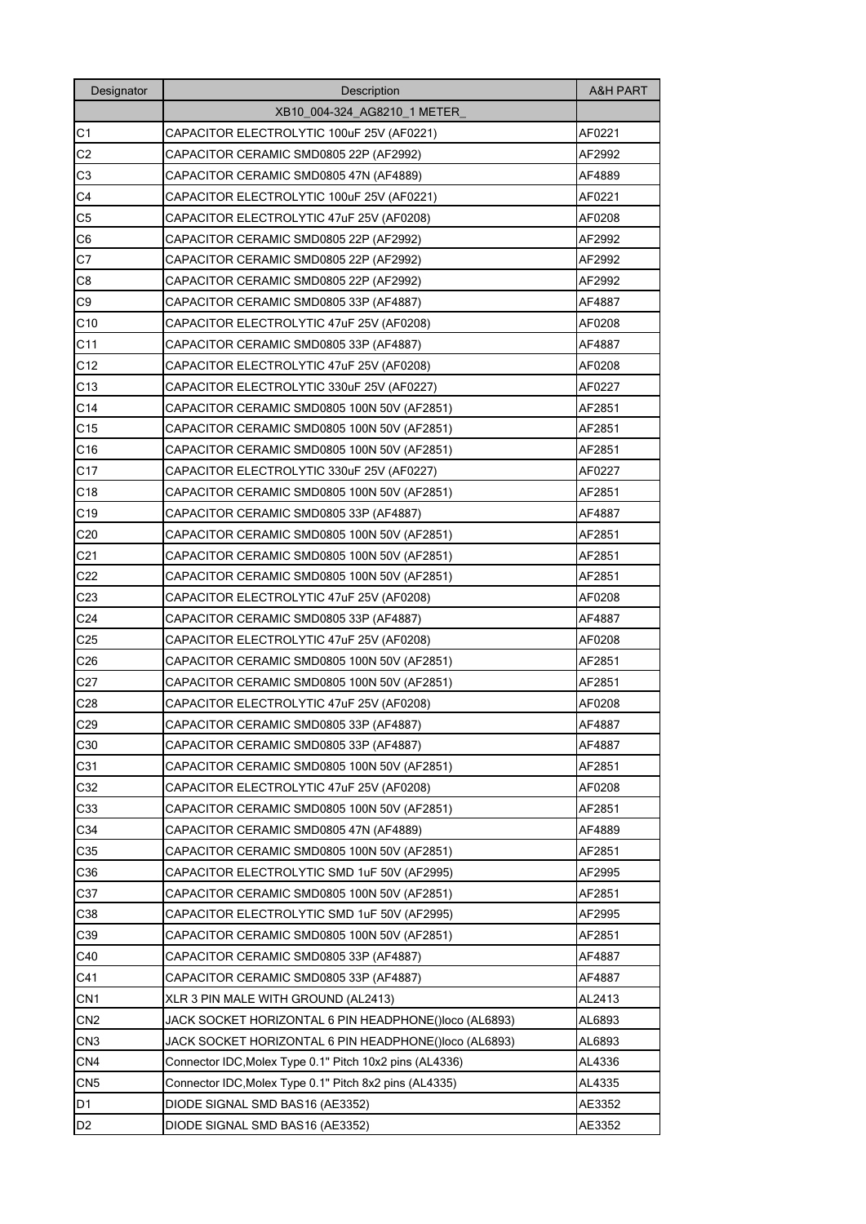| Designator      | Description                                             | <b>A&amp;H PART</b> |
|-----------------|---------------------------------------------------------|---------------------|
|                 | XB10 004-324 AG8210 1 METER                             |                     |
| C <sub>1</sub>  | CAPACITOR ELECTROLYTIC 100uF 25V (AF0221)               | AF0221              |
| C2              | CAPACITOR CERAMIC SMD0805 22P (AF2992)                  | AF2992              |
| C3              | CAPACITOR CERAMIC SMD0805 47N (AF4889)                  | AF4889              |
| C4              | CAPACITOR ELECTROLYTIC 100uF 25V (AF0221)               | AF0221              |
| C <sub>5</sub>  | CAPACITOR ELECTROLYTIC 47uF 25V (AF0208)                | AF0208              |
| C <sub>6</sub>  | CAPACITOR CERAMIC SMD0805 22P (AF2992)                  | AF2992              |
| C7              | CAPACITOR CERAMIC SMD0805 22P (AF2992)                  | AF2992              |
| C8              | CAPACITOR CERAMIC SMD0805 22P (AF2992)                  | AF2992              |
| C9              | CAPACITOR CERAMIC SMD0805 33P (AF4887)                  | AF4887              |
| C10             | CAPACITOR ELECTROLYTIC 47uF 25V (AF0208)                | AF0208              |
| C11             | CAPACITOR CERAMIC SMD0805 33P (AF4887)                  | AF4887              |
| C12             | CAPACITOR ELECTROLYTIC 47uF 25V (AF0208)                | AF0208              |
| C13             | CAPACITOR ELECTROLYTIC 330uF 25V (AF0227)               | AF0227              |
| C14             | CAPACITOR CERAMIC SMD0805 100N 50V (AF2851)             | AF2851              |
| C <sub>15</sub> | CAPACITOR CERAMIC SMD0805 100N 50V (AF2851)             | AF2851              |
| C16             | CAPACITOR CERAMIC SMD0805 100N 50V (AF2851)             | AF2851              |
| C <sub>17</sub> | CAPACITOR ELECTROLYTIC 330uF 25V (AF0227)               | AF0227              |
| C <sub>18</sub> | CAPACITOR CERAMIC SMD0805 100N 50V (AF2851)             | AF2851              |
| C <sub>19</sub> | CAPACITOR CERAMIC SMD0805 33P (AF4887)                  | AF4887              |
| C20             | CAPACITOR CERAMIC SMD0805 100N 50V (AF2851)             | AF2851              |
| C21             | CAPACITOR CERAMIC SMD0805 100N 50V (AF2851)             | AF2851              |
| C22             | CAPACITOR CERAMIC SMD0805 100N 50V (AF2851)             | AF2851              |
| C23             | CAPACITOR ELECTROLYTIC 47uF 25V (AF0208)                | AF0208              |
| C <sub>24</sub> | CAPACITOR CERAMIC SMD0805 33P (AF4887)                  | AF4887              |
| C25             | CAPACITOR ELECTROLYTIC 47uF 25V (AF0208)                | AF0208              |
| C <sub>26</sub> | CAPACITOR CERAMIC SMD0805 100N 50V (AF2851)             | AF2851              |
| C27             | CAPACITOR CERAMIC SMD0805 100N 50V (AF2851)             | AF2851              |
| C <sub>28</sub> | CAPACITOR ELECTROLYTIC 47uF 25V (AF0208)                | AF0208              |
| C <sub>29</sub> | CAPACITOR CERAMIC SMD0805 33P (AF4887)                  | AF4887              |
| C30             | CAPACITOR CERAMIC SMD0805 33P (AF4887)                  | AF4887              |
| C31             | CAPACITOR CERAMIC SMD0805 100N 50V (AF2851)             | AF2851              |
| C32             | CAPACITOR ELECTROLYTIC 47uF 25V (AF0208)                | AF0208              |
| C33             | CAPACITOR CERAMIC SMD0805 100N 50V (AF2851)             | AF2851              |
| C34             | CAPACITOR CERAMIC SMD0805 47N (AF4889)                  | AF4889              |
| C35             | CAPACITOR CERAMIC SMD0805 100N 50V (AF2851)             | AF2851              |
| C36             | CAPACITOR ELECTROLYTIC SMD 1uF 50V (AF2995)             | AF2995              |
| C37             | CAPACITOR CERAMIC SMD0805 100N 50V (AF2851)             | AF2851              |
| C38             | CAPACITOR ELECTROLYTIC SMD 1uF 50V (AF2995)             | AF2995              |
| C39             | CAPACITOR CERAMIC SMD0805 100N 50V (AF2851)             | AF2851              |
| C40             | CAPACITOR CERAMIC SMD0805 33P (AF4887)                  | AF4887              |
| C41             | CAPACITOR CERAMIC SMD0805 33P (AF4887)                  | AF4887              |
| CN <sub>1</sub> | XLR 3 PIN MALE WITH GROUND (AL2413)                     | AL2413              |
| CN <sub>2</sub> | JACK SOCKET HORIZONTAL 6 PIN HEADPHONE()loco (AL6893)   | AL6893              |
| CN <sub>3</sub> | JACK SOCKET HORIZONTAL 6 PIN HEADPHONE()loco (AL6893)   | AL6893              |
| CN4             | Connector IDC, Molex Type 0.1" Pitch 10x2 pins (AL4336) | AL4336              |
| CN <sub>5</sub> | Connector IDC, Molex Type 0.1" Pitch 8x2 pins (AL4335)  | AL4335              |
| D1              | DIODE SIGNAL SMD BAS16 (AE3352)                         | AE3352              |
| D <sub>2</sub>  | DIODE SIGNAL SMD BAS16 (AE3352)                         | AE3352              |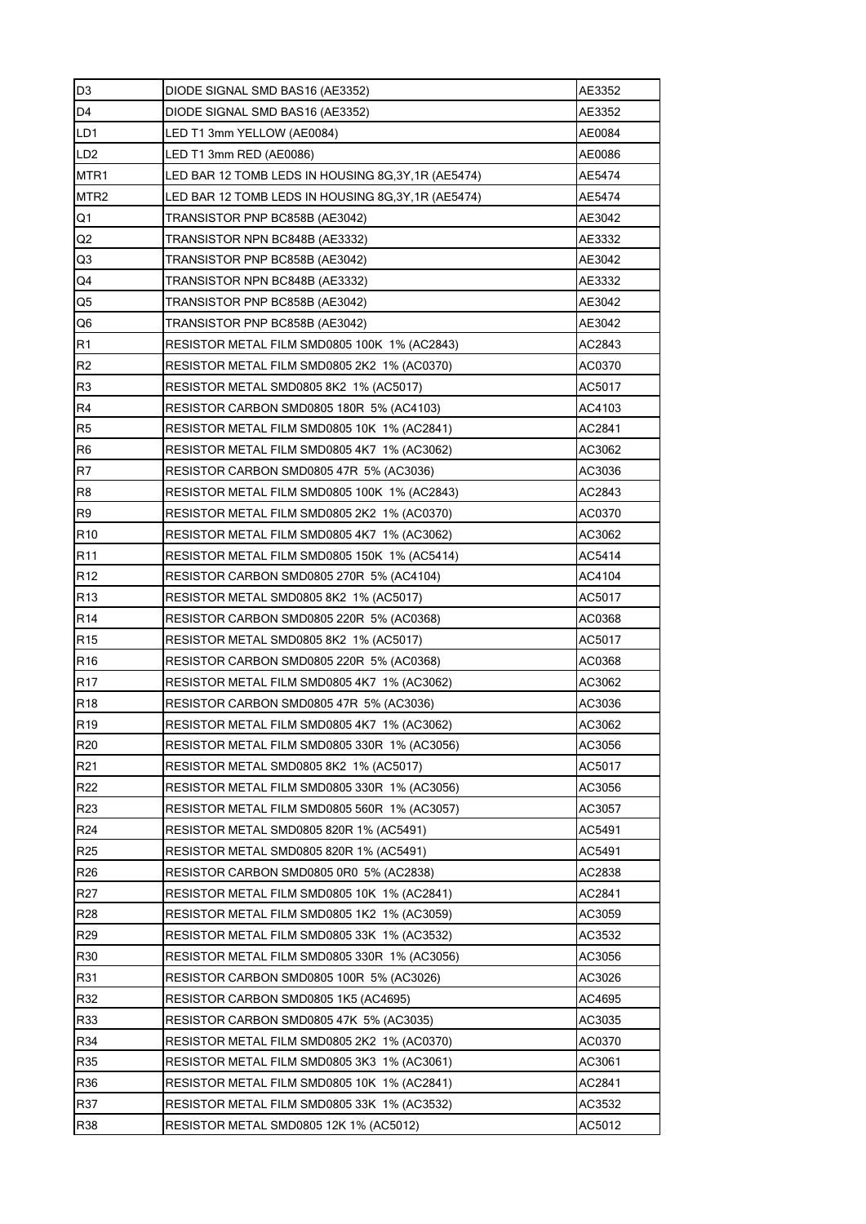| D <sub>3</sub>   | DIODE SIGNAL SMD BAS16 (AE3352)                   | AE3352 |
|------------------|---------------------------------------------------|--------|
| D <sub>4</sub>   | DIODE SIGNAL SMD BAS16 (AE3352)                   | AE3352 |
| LD1              | LED T1 3mm YELLOW (AE0084)                        | AE0084 |
| LD <sub>2</sub>  | LED T1 3mm RED (AE0086)                           | AE0086 |
| MTR <sub>1</sub> | LED BAR 12 TOMB LEDS IN HOUSING 8G,3Y,1R (AE5474) | AE5474 |
| MTR <sub>2</sub> | LED BAR 12 TOMB LEDS IN HOUSING 8G,3Y,1R (AE5474) | AE5474 |
| Q1               | TRANSISTOR PNP BC858B (AE3042)                    | AE3042 |
| Q2               | TRANSISTOR NPN BC848B (AE3332)                    | AE3332 |
| Q3               | TRANSISTOR PNP BC858B (AE3042)                    | AE3042 |
| Q4               | TRANSISTOR NPN BC848B (AE3332)                    | AE3332 |
| Q5               | TRANSISTOR PNP BC858B (AE3042)                    | AE3042 |
| Q <sub>6</sub>   | TRANSISTOR PNP BC858B (AE3042)                    | AE3042 |
| R1               | RESISTOR METAL FILM SMD0805 100K_1% (AC2843)      | AC2843 |
| R <sub>2</sub>   | RESISTOR METAL FILM SMD0805 2K2 1% (AC0370)       | AC0370 |
| R <sub>3</sub>   | RESISTOR METAL SMD0805 8K2 1% (AC5017)            | AC5017 |
| R4               | RESISTOR CARBON SMD0805 180R 5% (AC4103)          | AC4103 |
| R <sub>5</sub>   | RESISTOR METAL FILM SMD0805 10K_1% (AC2841)       | AC2841 |
| R <sub>6</sub>   | RESISTOR METAL FILM SMD0805 4K7 1% (AC3062)       | AC3062 |
| R7               | RESISTOR CARBON SMD0805 47R 5% (AC3036)           | AC3036 |
| R <sub>8</sub>   | RESISTOR METAL FILM SMD0805 100K_1% (AC2843)      | AC2843 |
| R <sub>9</sub>   | RESISTOR METAL FILM SMD0805 2K2 1% (AC0370)       | AC0370 |
| R <sub>10</sub>  | RESISTOR METAL FILM SMD0805 4K7 1% (AC3062)       | AC3062 |
| R11              | RESISTOR METAL FILM SMD0805 150K 1% (AC5414)      | AC5414 |
| R <sub>12</sub>  | RESISTOR CARBON SMD0805 270R 5% (AC4104)          | AC4104 |
| R <sub>13</sub>  | RESISTOR METAL SMD0805 8K2_1% (AC5017)            | AC5017 |
| R <sub>14</sub>  | RESISTOR CARBON SMD0805 220R 5% (AC0368)          | AC0368 |
| R <sub>15</sub>  | RESISTOR METAL SMD0805 8K2 1% (AC5017)            | AC5017 |
| R <sub>16</sub>  | RESISTOR CARBON SMD0805 220R 5% (AC0368)          | AC0368 |
| <b>R17</b>       | RESISTOR METAL FILM SMD0805 4K7 1% (AC3062)       | AC3062 |
| R <sub>18</sub>  | RESISTOR CARBON SMD0805 47R 5% (AC3036)           | AC3036 |
| R <sub>19</sub>  | RESISTOR METAL FILM SMD0805 4K7 1% (AC3062)       | AC3062 |
| R <sub>20</sub>  | RESISTOR METAL FILM SMD0805 330R 1% (AC3056)      | AC3056 |
| R <sub>21</sub>  | RESISTOR METAL SMD0805 8K2 1% (AC5017)            | AC5017 |
| R22              | RESISTOR METAL FILM SMD0805 330R 1% (AC3056)      | AC3056 |
| R <sub>23</sub>  | RESISTOR METAL FILM SMD0805 560R 1% (AC3057)      | AC3057 |
| R <sub>24</sub>  | RESISTOR METAL SMD0805 820R 1% (AC5491)           | AC5491 |
| R <sub>25</sub>  | RESISTOR METAL SMD0805 820R 1% (AC5491)           | AC5491 |
| R <sub>26</sub>  | RESISTOR CARBON SMD0805 0R0 5% (AC2838)           | AC2838 |
| R <sub>27</sub>  | RESISTOR METAL FILM SMD0805 10K 1% (AC2841)       | AC2841 |
| <b>R28</b>       | RESISTOR METAL FILM SMD0805 1K2 1% (AC3059)       | AC3059 |
| R <sub>29</sub>  | RESISTOR METAL FILM SMD0805 33K 1% (AC3532)       | AC3532 |
| R30              | RESISTOR METAL FILM SMD0805 330R 1% (AC3056)      | AC3056 |
| R31              | RESISTOR CARBON SMD0805 100R 5% (AC3026)          | AC3026 |
| R32              | RESISTOR CARBON SMD0805 1K5 (AC4695)              | AC4695 |
| R33              | RESISTOR CARBON SMD0805 47K 5% (AC3035)           | AC3035 |
| R34              | RESISTOR METAL FILM SMD0805 2K2 1% (AC0370)       | AC0370 |
| R35              | RESISTOR METAL FILM SMD0805 3K3 1% (AC3061)       | AC3061 |
| R36              | RESISTOR METAL FILM SMD0805 10K 1% (AC2841)       | AC2841 |
| R37              | RESISTOR METAL FILM SMD0805 33K 1% (AC3532)       | AC3532 |
| R38              | RESISTOR METAL SMD0805 12K 1% (AC5012)            | AC5012 |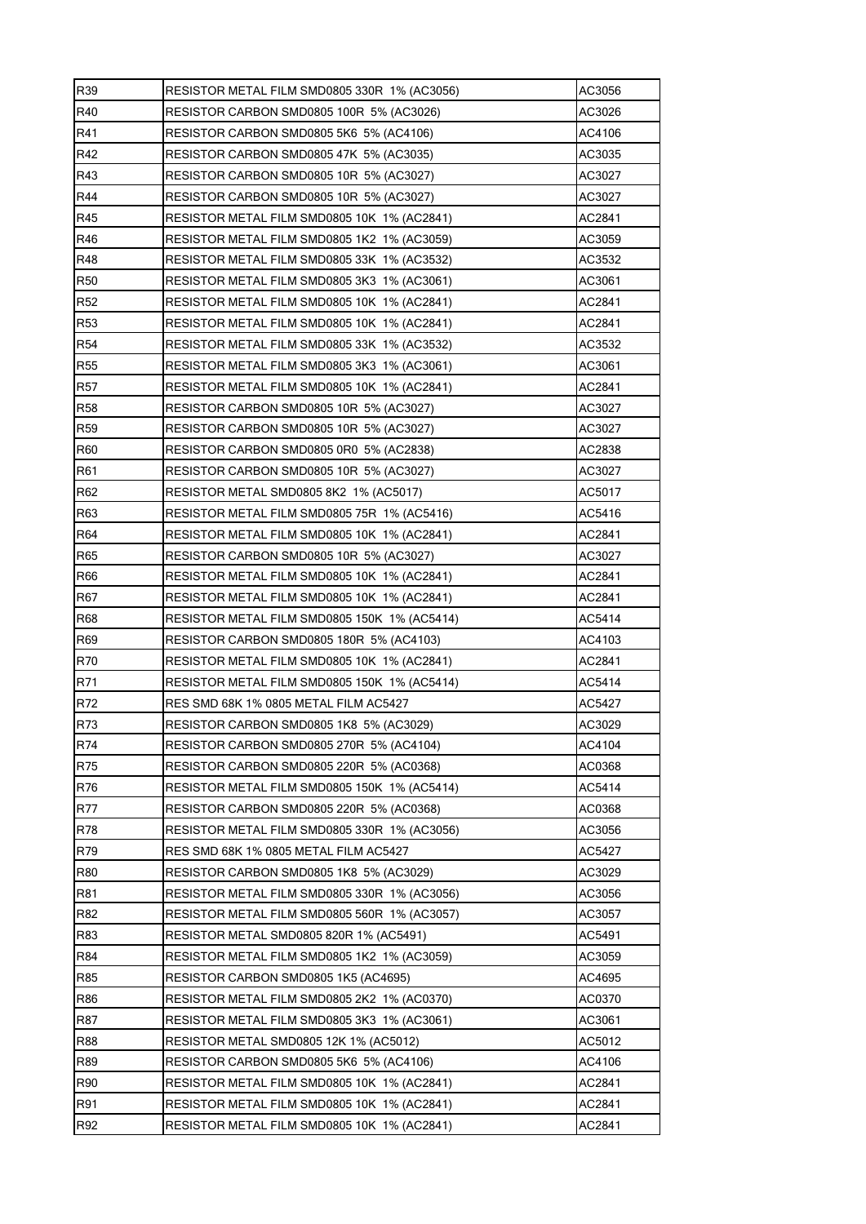| R39             | RESISTOR METAL FILM SMD0805 330R 1% (AC3056) | AC3056 |
|-----------------|----------------------------------------------|--------|
| R40             | RESISTOR CARBON SMD0805 100R 5% (AC3026)     | AC3026 |
| R41             | RESISTOR CARBON SMD0805 5K6 5% (AC4106)      | AC4106 |
| R42             | RESISTOR CARBON SMD0805 47K 5% (AC3035)      | AC3035 |
| R43             | RESISTOR CARBON SMD0805 10R 5% (AC3027)      | AC3027 |
| R44             | RESISTOR CARBON SMD0805 10R 5% (AC3027)      | AC3027 |
| R45             | RESISTOR METAL FILM SMD0805 10K 1% (AC2841)  | AC2841 |
| R46             | RESISTOR METAL FILM SMD0805 1K2 1% (AC3059)  | AC3059 |
| R48             | RESISTOR METAL FILM SMD0805 33K 1% (AC3532)  | AC3532 |
| R <sub>50</sub> | RESISTOR METAL FILM SMD0805 3K3 1% (AC3061)  | AC3061 |
| R <sub>52</sub> | RESISTOR METAL FILM SMD0805 10K 1% (AC2841)  | AC2841 |
| <b>R53</b>      | RESISTOR METAL FILM SMD0805 10K 1% (AC2841)  | AC2841 |
| R <sub>54</sub> | RESISTOR METAL FILM SMD0805 33K 1% (AC3532)  | AC3532 |
| <b>R55</b>      | RESISTOR METAL FILM SMD0805 3K3 1% (AC3061)  | AC3061 |
| R57             | RESISTOR METAL FILM SMD0805 10K 1% (AC2841)  | AC2841 |
| <b>R58</b>      | RESISTOR CARBON SMD0805 10R 5% (AC3027)      | AC3027 |
| <b>R59</b>      | RESISTOR CARBON SMD0805 10R 5% (AC3027)      | AC3027 |
| R60             | RESISTOR CARBON SMD0805 0R0 5% (AC2838)      | AC2838 |
| R61             | RESISTOR CARBON SMD0805 10R 5% (AC3027)      | AC3027 |
| R62             | RESISTOR METAL SMD0805 8K2 1% (AC5017)       | AC5017 |
| R63             | RESISTOR METAL FILM SMD0805 75R 1% (AC5416)  | AC5416 |
| R64             | RESISTOR METAL FILM SMD0805 10K 1% (AC2841)  | AC2841 |
| R65             | RESISTOR CARBON SMD0805 10R 5% (AC3027)      | AC3027 |
| R66             | RESISTOR METAL FILM SMD0805 10K 1% (AC2841)  | AC2841 |
| R67             | RESISTOR METAL FILM SMD0805 10K 1% (AC2841)  | AC2841 |
| R68             | RESISTOR METAL FILM SMD0805 150K 1% (AC5414) | AC5414 |
| R69             | RESISTOR CARBON SMD0805 180R 5% (AC4103)     | AC4103 |
| R70             | RESISTOR METAL FILM SMD0805 10K 1% (AC2841)  | AC2841 |
| R71             | RESISTOR METAL FILM SMD0805 150K 1% (AC5414) | AC5414 |
| R72             | RES SMD 68K 1% 0805 METAL FILM AC5427        | AC5427 |
| R73             | RESISTOR CARBON SMD0805 1K8 5% (AC3029)      | AC3029 |
| R74             | RESISTOR CARBON SMD0805 270R 5% (AC4104)     | AC4104 |
| R75             | RESISTOR CARBON SMD0805 220R 5% (AC0368)     | AC0368 |
| R76             | RESISTOR METAL FILM SMD0805 150K 1% (AC5414) | AC5414 |
| R77             | RESISTOR CARBON SMD0805 220R 5% (AC0368)     | AC0368 |
| R78             | RESISTOR METAL FILM SMD0805 330R 1% (AC3056) | AC3056 |
| R79             | RES SMD 68K 1% 0805 METAL FILM AC5427        | AC5427 |
| R80             | RESISTOR CARBON SMD0805 1K8 5% (AC3029)      | AC3029 |
| R81             | RESISTOR METAL FILM SMD0805 330R 1% (AC3056) | AC3056 |
| R82             | RESISTOR METAL FILM SMD0805 560R 1% (AC3057) | AC3057 |
| R83             | RESISTOR METAL SMD0805 820R 1% (AC5491)      | AC5491 |
| R84             | RESISTOR METAL FILM SMD0805 1K2 1% (AC3059)  | AC3059 |
| R85             | RESISTOR CARBON SMD0805 1K5 (AC4695)         | AC4695 |
| R86             | RESISTOR METAL FILM SMD0805 2K2 1% (AC0370)  | AC0370 |
| <b>R87</b>      | RESISTOR METAL FILM SMD0805 3K3 1% (AC3061)  | AC3061 |
| <b>R88</b>      | RESISTOR METAL SMD0805 12K 1% (AC5012)       | AC5012 |
| R89             | RESISTOR CARBON SMD0805 5K6 5% (AC4106)      | AC4106 |
| R90             | RESISTOR METAL FILM SMD0805 10K 1% (AC2841)  | AC2841 |
| R91             | RESISTOR METAL FILM SMD0805 10K 1% (AC2841)  | AC2841 |
| R92             | RESISTOR METAL FILM SMD0805 10K 1% (AC2841)  | AC2841 |